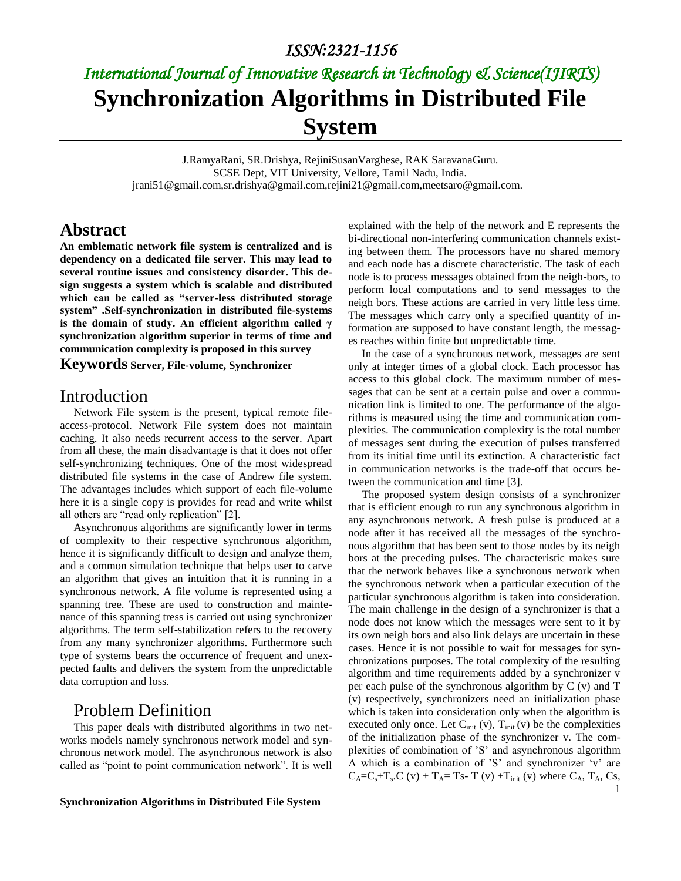# *International Journal of Innovative Research in Technology & Science(IJIRTS)* **Synchronization Algorithms in Distributed File System**

J.RamyaRani, SR.Drishya, RejiniSusanVarghese, RAK SaravanaGuru. SCSE Dept, VIT University, Vellore, Tamil Nadu, India. jrani51@gmail.com,sr.drishya@gmail.com,rejini21@gmail.com,meetsaro@gmail.com.

#### **Abstract**

**An emblematic network file system is centralized and is dependency on a dedicated file server. This may lead to several routine issues and consistency disorder. This design suggests a system which is scalable and distributed which can be called as "server-less distributed storage system" .Self-synchronization in distributed file-systems is the domain of study. An efficient algorithm called γ synchronization algorithm superior in terms of time and communication complexity is proposed in this survey**

#### **Keywords Server, File-volume, Synchronizer**

#### Introduction

Network File system is the present, typical remote fileaccess-protocol. Network File system does not maintain caching. It also needs recurrent access to the server. Apart from all these, the main disadvantage is that it does not offer self-synchronizing techniques. One of the most widespread distributed file systems in the case of Andrew file system. The advantages includes which support of each file-volume here it is a single copy is provides for read and write whilst all others are "read only replication" [2].

Asynchronous algorithms are significantly lower in terms of complexity to their respective synchronous algorithm, hence it is significantly difficult to design and analyze them, and a common simulation technique that helps user to carve an algorithm that gives an intuition that it is running in a synchronous network. A file volume is represented using a spanning tree. These are used to construction and maintenance of this spanning tress is carried out using synchronizer algorithms. The term self-stabilization refers to the recovery from any many synchronizer algorithms. Furthermore such type of systems bears the occurrence of frequent and unexpected faults and delivers the system from the unpredictable data corruption and loss.

#### Problem Definition

This paper deals with distributed algorithms in two networks models namely synchronous network model and synchronous network model. The asynchronous network is also called as "point to point communication network". It is well

**Synchronization Algorithms in Distributed File System**

explained with the help of the network and E represents the bi-directional non-interfering communication channels existing between them. The processors have no shared memory and each node has a discrete characteristic. The task of each node is to process messages obtained from the neigh-bors, to perform local computations and to send messages to the neigh bors. These actions are carried in very little less time. The messages which carry only a specified quantity of information are supposed to have constant length, the messages reaches within finite but unpredictable time.

In the case of a synchronous network, messages are sent only at integer times of a global clock. Each processor has access to this global clock. The maximum number of messages that can be sent at a certain pulse and over a communication link is limited to one. The performance of the algorithms is measured using the time and communication complexities. The communication complexity is the total number of messages sent during the execution of pulses transferred from its initial time until its extinction. A characteristic fact in communication networks is the trade-off that occurs between the communication and time [3].

The proposed system design consists of a synchronizer that is efficient enough to run any synchronous algorithm in any asynchronous network. A fresh pulse is produced at a node after it has received all the messages of the synchronous algorithm that has been sent to those nodes by its neigh bors at the preceding pulses. The characteristic makes sure that the network behaves like a synchronous network when the synchronous network when a particular execution of the particular synchronous algorithm is taken into consideration. The main challenge in the design of a synchronizer is that a node does not know which the messages were sent to it by its own neigh bors and also link delays are uncertain in these cases. Hence it is not possible to wait for messages for synchronizations purposes. The total complexity of the resulting algorithm and time requirements added by a synchronizer v per each pulse of the synchronous algorithm by C (v) and T (v) respectively, synchronizers need an initialization phase which is taken into consideration only when the algorithm is executed only once. Let  $C<sub>init</sub>$  (v),  $T<sub>init</sub>$  (v) be the complexities of the initialization phase of the synchronizer v. The complexities of combination of 'S' and asynchronous algorithm A which is a combination of 'S' and synchronizer 'v' are  $C_A=C_s+T_s.C$  (v) + T<sub>A</sub>= Ts- T (v) + T<sub>init</sub> (v) where  $C_A$ , T<sub>A</sub>, Cs,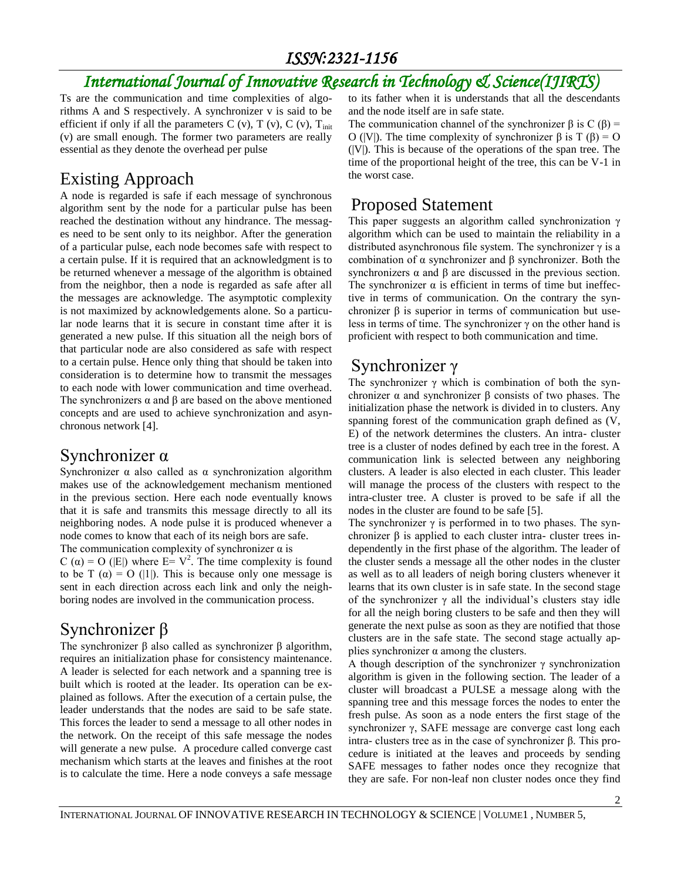### *ISSN:2321-1156*

## *International Journal of Innovative Research in Technology & Science(IJIRTS)*

Ts are the communication and time complexities of algorithms A and S respectively. A synchronizer v is said to be efficient if only if all the parameters C (v), T (v), C (v),  $T_{init}$ (v) are small enough. The former two parameters are really essential as they denote the overhead per pulse

### Existing Approach

A node is regarded is safe if each message of synchronous algorithm sent by the node for a particular pulse has been reached the destination without any hindrance. The messages need to be sent only to its neighbor. After the generation of a particular pulse, each node becomes safe with respect to a certain pulse. If it is required that an acknowledgment is to be returned whenever a message of the algorithm is obtained from the neighbor, then a node is regarded as safe after all the messages are acknowledge. The asymptotic complexity is not maximized by acknowledgements alone. So a particular node learns that it is secure in constant time after it is generated a new pulse. If this situation all the neigh bors of that particular node are also considered as safe with respect to a certain pulse. Hence only thing that should be taken into consideration is to determine how to transmit the messages to each node with lower communication and time overhead. The synchronizers  $\alpha$  and  $\beta$  are based on the above mentioned concepts and are used to achieve synchronization and asynchronous network [4].

### Synchronizer α

Synchronizer  $\alpha$  also called as  $\alpha$  synchronization algorithm makes use of the acknowledgement mechanism mentioned in the previous section. Here each node eventually knows that it is safe and transmits this message directly to all its neighboring nodes. A node pulse it is produced whenever a node comes to know that each of its neigh bors are safe. The communication complexity of synchronizer  $\alpha$  is

C ( $\alpha$ ) = O (|E|) where E= V<sup>2</sup>. The time complexity is found to be T  $(\alpha) = O(|1|)$ . This is because only one message is sent in each direction across each link and only the neighboring nodes are involved in the communication process.

### Synchronizer β

The synchronizer β also called as synchronizer β algorithm, requires an initialization phase for consistency maintenance. A leader is selected for each network and a spanning tree is built which is rooted at the leader. Its operation can be explained as follows. After the execution of a certain pulse, the leader understands that the nodes are said to be safe state. This forces the leader to send a message to all other nodes in the network. On the receipt of this safe message the nodes will generate a new pulse. A procedure called converge cast mechanism which starts at the leaves and finishes at the root is to calculate the time. Here a node conveys a safe message

to its father when it is understands that all the descendants and the node itself are in safe state.

The communication channel of the synchronizer  $\beta$  is C ( $\beta$ ) = O (|V|). The time complexity of synchronizer β is T (β) = O  $(|V|)$ . This is because of the operations of the span tree. The time of the proportional height of the tree, this can be V-1 in the worst case.

### Proposed Statement

This paper suggests an algorithm called synchronization γ algorithm which can be used to maintain the reliability in a distributed asynchronous file system. The synchronizer  $\gamma$  is a combination of α synchronizer and β synchronizer. Both the synchronizers α and β are discussed in the previous section. The synchronizer  $\alpha$  is efficient in terms of time but ineffective in terms of communication. On the contrary the synchronizer β is superior in terms of communication but useless in terms of time. The synchronizer  $\gamma$  on the other hand is proficient with respect to both communication and time.

### Synchronizer γ

The synchronizer  $\gamma$  which is combination of both the synchronizer  $α$  and synchronizer  $β$  consists of two phases. The initialization phase the network is divided in to clusters. Any spanning forest of the communication graph defined as (V, E) of the network determines the clusters. An intra- cluster tree is a cluster of nodes defined by each tree in the forest. A communication link is selected between any neighboring clusters. A leader is also elected in each cluster. This leader will manage the process of the clusters with respect to the intra-cluster tree. A cluster is proved to be safe if all the nodes in the cluster are found to be safe [5].

The synchronizer  $\gamma$  is performed in to two phases. The synchronizer  $\beta$  is applied to each cluster intra- cluster trees independently in the first phase of the algorithm. The leader of the cluster sends a message all the other nodes in the cluster as well as to all leaders of neigh boring clusters whenever it learns that its own cluster is in safe state. In the second stage of the synchronizer  $\gamma$  all the individual's clusters stay idle for all the neigh boring clusters to be safe and then they will generate the next pulse as soon as they are notified that those clusters are in the safe state. The second stage actually applies synchronizer  $\alpha$  among the clusters.

A though description of the synchronizer  $\gamma$  synchronization algorithm is given in the following section. The leader of a cluster will broadcast a PULSE a message along with the spanning tree and this message forces the nodes to enter the fresh pulse. As soon as a node enters the first stage of the synchronizer γ, SAFE message are converge cast long each intra- clusters tree as in the case of synchronizer β. This procedure is initiated at the leaves and proceeds by sending SAFE messages to father nodes once they recognize that they are safe. For non-leaf non cluster nodes once they find